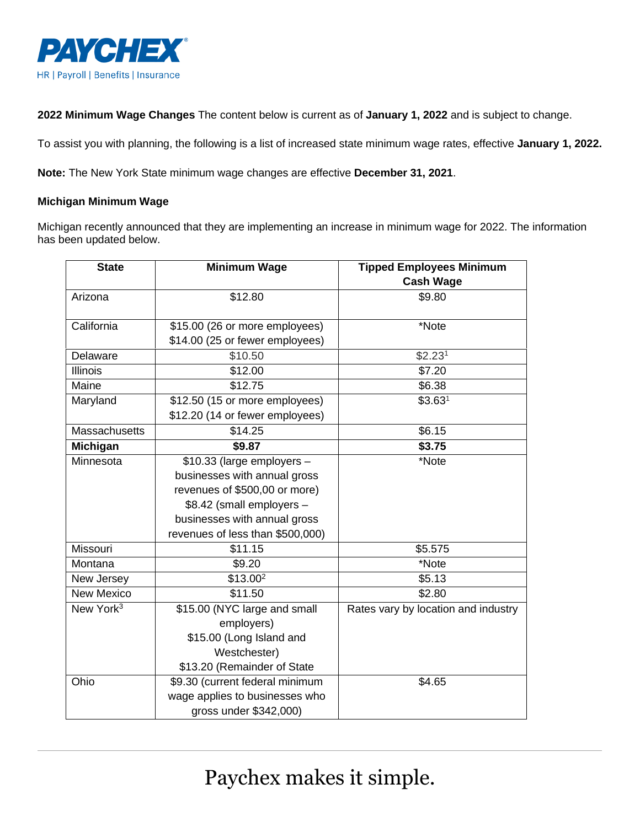

**2022 Minimum Wage Changes** The content below is current as of **January 1, 2022** and is subject to change.

To assist you with planning, the following is a list of increased state minimum wage rates, effective **January 1, 2022.** 

**Note:** The New York State minimum wage changes are effective **December 31, 2021**.

## **Michigan Minimum Wage**

Michigan recently announced that they are implementing an increase in minimum wage for 2022. The information has been updated below.

| <b>State</b>          | <b>Minimum Wage</b>              | <b>Tipped Employees Minimum</b>     |
|-----------------------|----------------------------------|-------------------------------------|
|                       |                                  | <b>Cash Wage</b>                    |
| Arizona               | \$12.80                          | \$9.80                              |
| California            | \$15.00 (26 or more employees)   | *Note                               |
|                       | \$14.00 (25 or fewer employees)  |                                     |
| Delaware              | \$10.50                          | \$2.23 <sup>1</sup>                 |
| <b>Illinois</b>       | \$12.00                          | \$7.20                              |
| Maine                 | \$12.75                          | \$6.38                              |
| Maryland              | \$12.50 (15 or more employees)   | \$3.63 <sup>1</sup>                 |
|                       | \$12.20 (14 or fewer employees)  |                                     |
| <b>Massachusetts</b>  | \$14.25                          | \$6.15                              |
| <b>Michigan</b>       | \$9.87                           | \$3.75                              |
| Minnesota             | $$10.33$ (large employers -      | *Note                               |
|                       | businesses with annual gross     |                                     |
|                       | revenues of \$500,00 or more)    |                                     |
|                       | \$8.42 (small employers -        |                                     |
|                       | businesses with annual gross     |                                     |
|                       | revenues of less than \$500,000) |                                     |
| Missouri              | \$11.15                          | \$5.575                             |
| Montana               | \$9.20                           | *Note                               |
| New Jersey            | $\sqrt{$13.00^2}$                | \$5.13                              |
| New Mexico            | \$11.50                          | \$2.80                              |
| New York <sup>3</sup> | \$15.00 (NYC large and small     | Rates vary by location and industry |
|                       | employers)                       |                                     |
|                       | \$15.00 (Long Island and         |                                     |
|                       | Westchester)                     |                                     |
|                       | \$13.20 (Remainder of State      |                                     |
| Ohio                  | \$9.30 (current federal minimum  | \$4.65                              |
|                       | wage applies to businesses who   |                                     |
|                       | gross under \$342,000)           |                                     |

Paychex makes it simple.